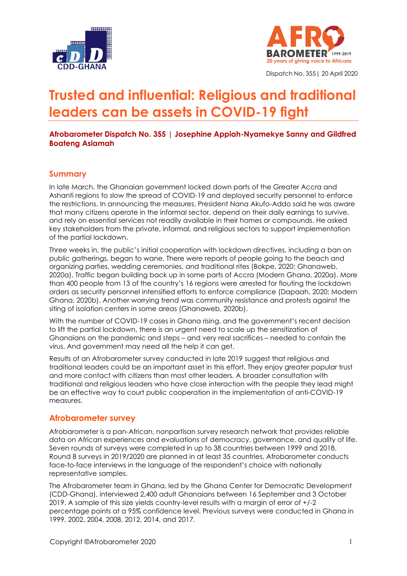



Dispatch No. 355| 20 April 2020

# **Trusted and influential: Religious and traditional leaders can be assets in COVID-19 fight**

#### **Afrobarometer Dispatch No. 355 | Josephine Appiah-Nyamekye Sanny and Gildfred Boateng Asiamah**

#### **Summary**

In late March, the Ghanaian government locked down parts of the Greater Accra and Ashanti regions to slow the spread of COVID-19 and deployed security personnel to enforce the restrictions. In announcing the measures, President Nana Akufo-Addo said he was aware that many citizens operate in the informal sector, depend on their daily earnings to survive, and rely on essential services not readily available in their homes or compounds. He asked key stakeholders from the private, informal, and religious sectors to support implementation of the partial lockdown.

Three weeks in, the public's initial cooperation with lockdown directives, including a ban on public gatherings, began to wane. There were reports of people going to the beach and organizing parties, wedding ceremonies, and traditional rites (Bokpe, 2020; Ghanaweb, 2020a). Traffic began building back up in some parts of Accra (Modern Ghana, 2020a). More than 400 people from 13 of the country's 16 regions were arrested for flouting the lockdown orders as security personnel intensified efforts to enforce compliance (Dapaah, 2020; Modern Ghana, 2020b). Another worrying trend was community resistance and protests against the siting of isolation centers in some areas (Ghanaweb, 2020b).

With the number of COVID-19 cases in Ghana rising, and the government's recent decision to lift the partial lockdown, there is an urgent need to scale up the sensitization of Ghanaians on the pandemic and steps – and very real sacrifices – needed to contain the virus. And government may need all the help it can get.

Results of an Afrobarometer survey conducted in late 2019 suggest that religious and traditional leaders could be an important asset in this effort. They enjoy greater popular trust and more contact with citizens than most other leaders. A broader consultation with traditional and religious leaders who have close interaction with the people they lead might be an effective way to court public cooperation in the implementation of anti-COVID-19 measures.

#### **Afrobarometer survey**

Afrobarometer is a pan-African, nonpartisan survey research network that provides reliable data on African experiences and evaluations of democracy, governance, and quality of life. Seven rounds of surveys were completed in up to 38 countries between 1999 and 2018. Round 8 surveys in 2019/2020 are planned in at least 35 countries. Afrobarometer conducts face-to-face interviews in the language of the respondent's choice with nationally representative samples.

The Afrobarometer team in Ghana, led by the Ghana Center for Democratic Development (CDD-Ghana), interviewed 2,400 adult Ghanaians between 16 September and 3 October 2019. A sample of this size yields country-level results with a margin of error of +/-2 percentage points at a 95% confidence level. Previous surveys were conducted in Ghana in 1999, 2002, 2004, 2008, 2012, 2014, and 2017.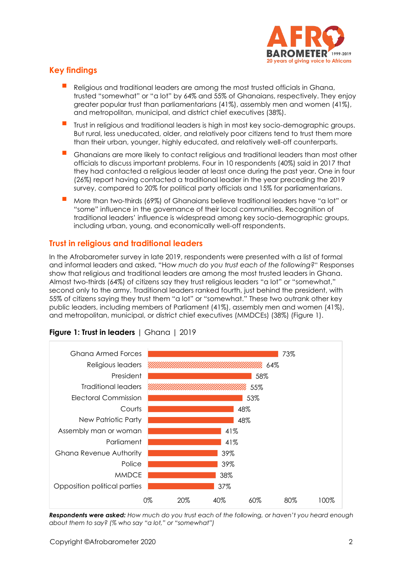

# **Key findings**

- Religious and traditional leaders are among the most trusted officials in Ghana, trusted "somewhat" or "a lot" by 64% and 55% of Ghanaians, respectively. They enjoy greater popular trust than parliamentarians (41%), assembly men and women (41%), and metropolitan, municipal, and district chief executives (38%).
- Trust in religious and traditional leaders is high in most key socio-demographic groups. But rural, less uneducated, older, and relatively poor citizens tend to trust them more than their urban, younger, highly educated, and relatively well-off counterparts.
- Ghanaians are more likely to contact religious and traditional leaders than most other officials to discuss important problems. Four in 10 respondents (40%) said in 2017 that they had contacted a religious leader at least once during the past year. One in four (26%) report having contacted a traditional leader in the year preceding the 2019 survey, compared to 20% for political party officials and 15% for parliamentarians.
- More than two-thirds (69%) of Ghanaians believe traditional leaders have "a lot" or "some" influence in the governance of their local communities. Recognition of traditional leaders' influence is widespread among key socio-demographic groups, including urban, young, and economically well-off respondents.

## **Trust in religious and traditional leaders**

In the Afrobarometer survey in late 2019, respondents were presented with a list of formal and informal leaders and asked, "H*ow much do you trust each of the following?*" Responses show that religious and traditional leaders are among the most trusted leaders in Ghana. Almost two-thirds (64%) of citizens say they trust religious leaders "a lot" or "somewhat," second only to the army. Traditional leaders ranked fourth, just behind the president, with 55% of citizens saying they trust them "a lot" or "somewhat." These two outrank other key public leaders, including members of Parliament (41%), assembly men and women (41%), and metropolitan, municipal, or district chief executives (MMDCEs) (38%) (Figure 1).



## **Figure 1: Trust in leaders** | Ghana | 2019

*Respondents were asked: How much do you trust each of the following, or haven't you heard enough about them to say? (% who say "a lot," or "somewhat")*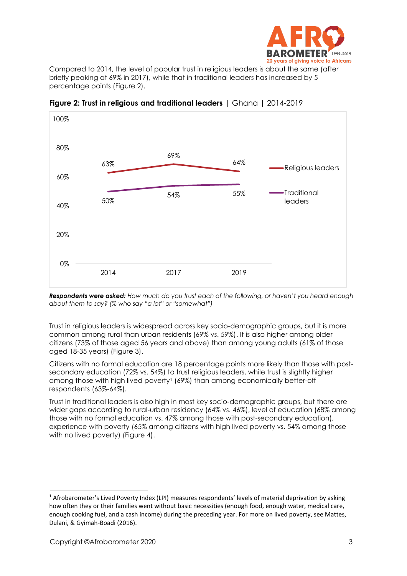

Compared to 2014, the level of popular trust in religious leaders is about the same (after briefly peaking at 69% in 2017), while that in traditional leaders has increased by 5 percentage points (Figure 2).



**Figure 2: Trust in religious and traditional leaders** | Ghana | 2014-2019

*Respondents were asked: How much do you trust each of the following, or haven't you heard enough about them to say? (% who say "a lot" or "somewhat")*

Trust in religious leaders is widespread across key socio-demographic groups, but it is more common among rural than urban residents (69% vs. 59%). It is also higher among older citizens (73% of those aged 56 years and above) than among young adults (61% of those aged 18-35 years) (Figure 3).

Citizens with no formal education are 18 percentage points more likely than those with postsecondary education (72% vs. 54%) to trust religious leaders, while trust is slightly higher among those with high lived poverty<sup>1</sup> (69%) than among economically better-off respondents (63%-64%).

Trust in traditional leaders is also high in most key socio-demographic groups, but there are wider gaps according to rural-urban residency (64% vs. 46%), level of education (68% among those with no formal education vs. 47% among those with post-secondary education), experience with poverty (65% among citizens with high lived poverty vs. 54% among those with no lived poverty) (Figure 4).

<sup>&</sup>lt;sup>1</sup> Afrobarometer's Lived Poverty Index (LPI) measures respondents' levels of material deprivation by asking how often they or their families went without basic necessities (enough food, enough water, medical care, enough cooking fuel, and a cash income) during the preceding year. For more on lived poverty, see Mattes, Dulani, & Gyimah-Boadi (2016).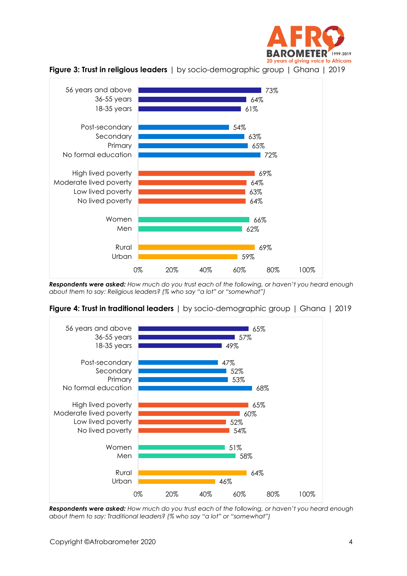





*Respondents were asked: How much do you trust each of the following, or haven't you heard enough about them to say: Religious leaders? (% who say "a lot" or "somewhat")*



**Figure 4: Trust in traditional leaders** | by socio-demographic group | Ghana | 2019

*Respondents were asked: How much do you trust each of the following, or haven't you heard enough about them to say: Traditional leaders? (% who say "a lot" or "somewhat")*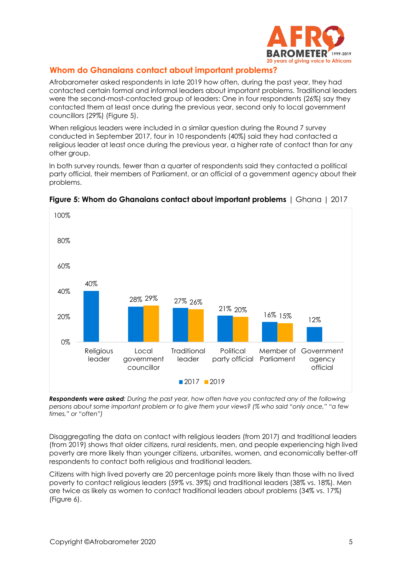

#### **Whom do Ghanaians contact about important problems?**

Afrobarometer asked respondents in late 2019 how often, during the past year, they had contacted certain formal and informal leaders about important problems. Traditional leaders were the second-most-contacted group of leaders: One in four respondents (26%) say they contacted them at least once during the previous year, second only to local government councillors (29%) (Figure 5).

When religious leaders were included in a similar question during the Round 7 survey conducted in September 2017, four in 10 respondents (40%) said they had contacted a religious leader at least once during the previous year, a higher rate of contact than for any other group.

In both survey rounds, fewer than a quarter of respondents said they contacted a political party official, their members of Parliament, or an official of a government agency about their problems.



#### **Figure 5: Whom do Ghanaians contact about important problems** | Ghana | 2017

*Respondents were asked: During the past year, how often have you contacted any of the following persons about some important problem or to give them your views? (% who said "only once," "a few times," or "often")*

Disaggregating the data on contact with religious leaders (from 2017) and traditional leaders (from 2019) shows that older citizens, rural residents, men, and people experiencing high lived poverty are more likely than younger citizens, urbanites, women, and economically better-off respondents to contact both religious and traditional leaders.

Citizens with high lived poverty are 20 percentage points more likely than those with no lived poverty to contact religious leaders (59% vs. 39%) and traditional leaders (38% vs. 18%). Men are twice as likely as women to contact traditional leaders about problems (34% vs. 17%) (Figure 6).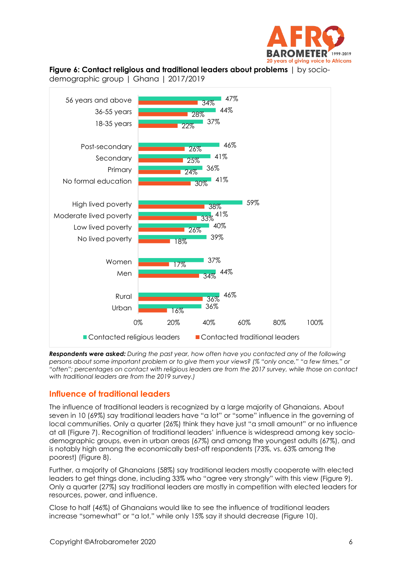

**Figure 6: Contact religious and traditional leaders about problems** | by socio-

demographic group | Ghana | 2017/2019



*Respondents were asked: During the past year, how often have you contacted any of the following persons about some important problem or to give them your views? (% "only once," "a few times," or "often"; percentages on contact with religious leaders are from the 2017 survey, while those on contact with traditional leaders are from the 2019 survey.)*

#### **Influence of traditional leaders**

The influence of traditional leaders is recognized by a large majority of Ghanaians. About seven in 10 (69%) say traditional leaders have "a lot" or "some" influence in the governing of local communities. Only a quarter (26%) think they have just "a small amount" or no influence at all (Figure 7). Recognition of traditional leaders' influence is widespread among key sociodemographic groups, even in urban areas (67%) and among the youngest adults (67%), and is notably high among the economically best-off respondents (73%, vs. 63% among the poorest) (Figure 8).

Further, a majority of Ghanaians (58%) say traditional leaders mostly cooperate with elected leaders to get things done, including 33% who "agree very strongly" with this view (Figure 9). Only a quarter (27%) say traditional leaders are mostly in competition with elected leaders for resources, power, and influence.

Close to half (46%) of Ghanaians would like to see the influence of traditional leaders increase "somewhat" or "a lot," while only 15% say it should decrease (Figure 10).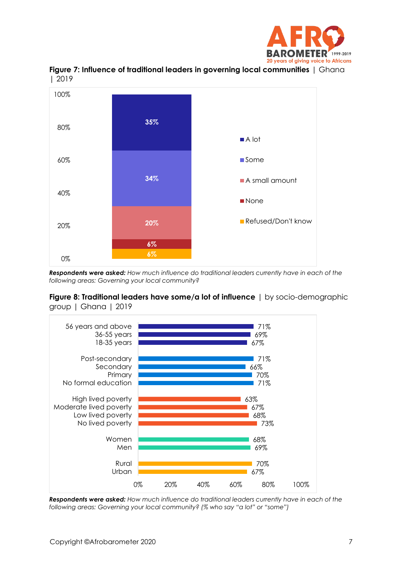





*Respondents were asked: How much influence do traditional leaders currently have in each of the following areas: Governing your local community?*

#### **Figure 8: Traditional leaders have some/a lot of influence** | by socio-demographic group | Ghana | 2019



*Respondents were asked: How much influence do traditional leaders currently have in each of the following areas: Governing your local community? (% who say "a lot" or "some")*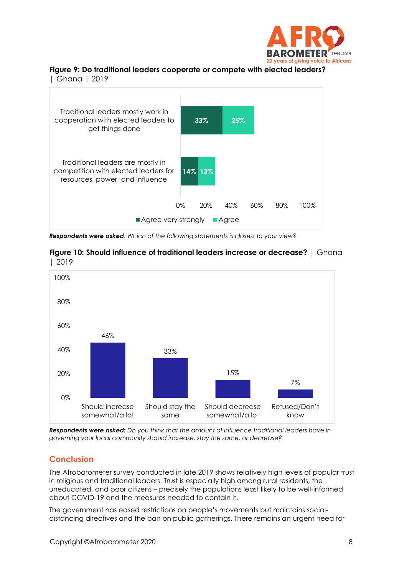

# **Figure 9: Do traditional leaders cooperate or compete with elected leaders?**

| Ghana | 2019



*Respondents were asked: Which of the following statements is closest to your view?* 





*Respondents were asked: Do you think that the amount of influence traditional leaders have in governing your local community should increase, stay the same, or decrease?.*

## **Conclusion**

The Afrobarometer survey conducted in late 2019 shows relatively high levels of popular trust in religious and traditional leaders. Trust is especially high among rural residents, the uneducated, and poor citizens – precisely the populations least likely to be well-informed about COVID-19 and the measures needed to contain it.

The government has eased restrictions on people's movements but maintains socialdistancing directives and the ban on public gatherings. There remains an urgent need for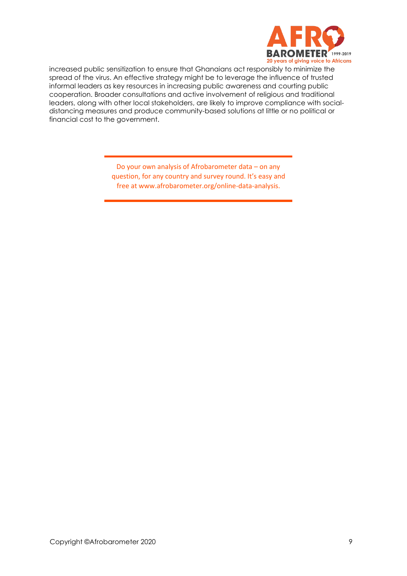

increased public sensitization to ensure that Ghanaians act responsibly to minimize the spread of the virus. An effective strategy might be to leverage the influence of trusted informal leaders as key resources in increasing public awareness and courting public cooperation. Broader consultations and active involvement of religious and traditional leaders, along with other local stakeholders, are likely to improve compliance with socialdistancing measures and produce community-based solutions at little or no political or financial cost to the government.

> Do your own analysis of Afrobarometer data – on any question, for any country and survey round. It's easy and free at www.afrobarometer.org/online-data-analysis.